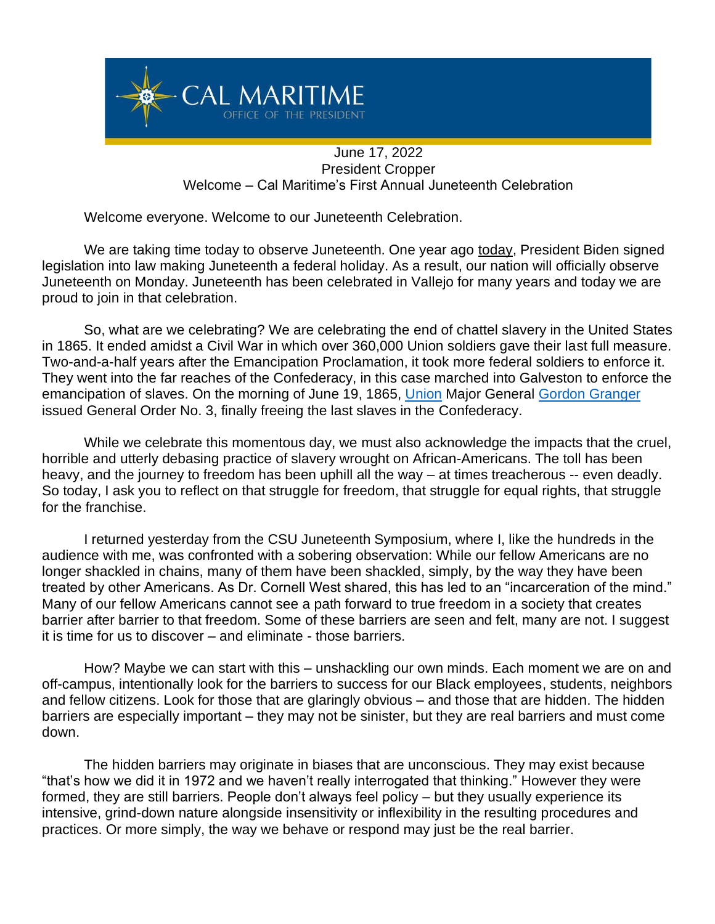

## June 17, 2022 President Cropper Welcome – Cal Maritime's First Annual Juneteenth Celebration

Welcome everyone. Welcome to our Juneteenth Celebration.

We are taking time today to observe Juneteenth. One year ago today, President Biden signed legislation into law making Juneteenth a federal holiday. As a result, our nation will officially observe Juneteenth on Monday. Juneteenth has been celebrated in Vallejo for many years and today we are proud to join in that celebration.

So, what are we celebrating? We are celebrating the end of chattel slavery in the United States in 1865. It ended amidst a Civil War in which over 360,000 Union soldiers gave their last full measure. Two-and-a-half years after the Emancipation Proclamation, it took more federal soldiers to enforce it. They went into the far reaches of the Confederacy, in this case marched into Galveston to enforce the emancipation of slaves. On the morning of June 19, 1865, [Union](https://en.wikipedia.org/wiki/Union_Army) Major General [Gordon Granger](https://en.wikipedia.org/wiki/Gordon_Granger) issued General Order No. 3, finally freeing the last slaves in the Confederacy.

While we celebrate this momentous day, we must also acknowledge the impacts that the cruel, horrible and utterly debasing practice of slavery wrought on African-Americans. The toll has been heavy, and the journey to freedom has been uphill all the way – at times treacherous -- even deadly. So today, I ask you to reflect on that struggle for freedom, that struggle for equal rights, that struggle for the franchise.

I returned yesterday from the CSU Juneteenth Symposium, where I, like the hundreds in the audience with me, was confronted with a sobering observation: While our fellow Americans are no longer shackled in chains, many of them have been shackled, simply, by the way they have been treated by other Americans. As Dr. Cornell West shared, this has led to an "incarceration of the mind." Many of our fellow Americans cannot see a path forward to true freedom in a society that creates barrier after barrier to that freedom. Some of these barriers are seen and felt, many are not. I suggest it is time for us to discover – and eliminate - those barriers.

How? Maybe we can start with this – unshackling our own minds. Each moment we are on and off-campus, intentionally look for the barriers to success for our Black employees, students, neighbors and fellow citizens. Look for those that are glaringly obvious – and those that are hidden. The hidden barriers are especially important – they may not be sinister, but they are real barriers and must come down.

The hidden barriers may originate in biases that are unconscious. They may exist because "that's how we did it in 1972 and we haven't really interrogated that thinking." However they were formed, they are still barriers. People don't always feel policy – but they usually experience its intensive, grind-down nature alongside insensitivity or inflexibility in the resulting procedures and practices. Or more simply, the way we behave or respond may just be the real barrier.